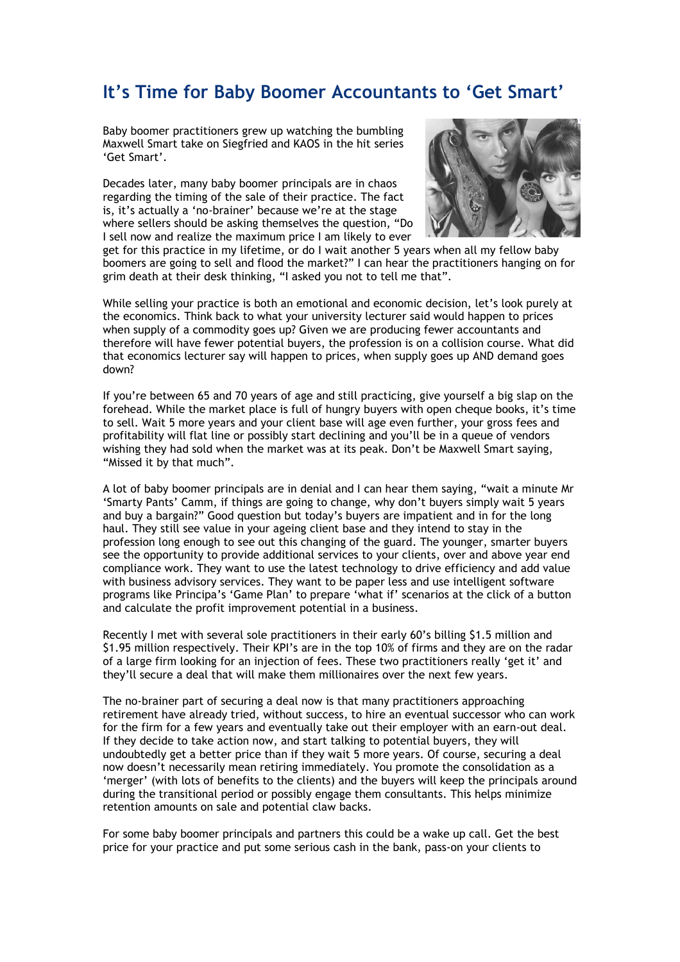## **It's Time for Baby Boomer Accountants to 'Get Smart'**

Baby boomer practitioners grew up watching the bumbling Maxwell Smart take on Siegfried and KAOS in the hit series 'Get Smart'.

Decades later, many baby boomer principals are in chaos regarding the timing of the sale of their practice. The fact is, it's actually a 'no-brainer' because we're at the stage where sellers should be asking themselves the question, "Do I sell now and realize the maximum price I am likely to ever



get for this practice in my lifetime, or do I wait another 5 years when all my fellow baby boomers are going to sell and flood the market?" I can hear the practitioners hanging on for grim death at their desk thinking, "I asked you not to tell me that".

While selling your practice is both an emotional and economic decision, let's look purely at the economics. Think back to what your university lecturer said would happen to prices when supply of a commodity goes up? Given we are producing fewer accountants and therefore will have fewer potential buyers, the profession is on a collision course. What did that economics lecturer say will happen to prices, when supply goes up AND demand goes down?

If you're between 65 and 70 years of age and still practicing, give yourself a big slap on the forehead. While the market place is full of hungry buyers with open cheque books, it's time to sell. Wait 5 more years and your client base will age even further, your gross fees and profitability will flat line or possibly start declining and you'll be in a queue of vendors wishing they had sold when the market was at its peak. Don't be Maxwell Smart saying, "Missed it by that much".

A lot of baby boomer principals are in denial and I can hear them saying, "wait a minute Mr 'Smarty Pants' Camm, if things are going to change, why don't buyers simply wait 5 years and buy a bargain?" Good question but today's buyers are impatient and in for the long haul. They still see value in your ageing client base and they intend to stay in the profession long enough to see out this changing of the guard. The younger, smarter buyers see the opportunity to provide additional services to your clients, over and above year end compliance work. They want to use the latest technology to drive efficiency and add value with business advisory services. They want to be paper less and use intelligent software programs like Principa's 'Game Plan' to prepare 'what if' scenarios at the click of a button and calculate the profit improvement potential in a business.

Recently I met with several sole practitioners in their early 60's billing \$1.5 million and \$1.95 million respectively. Their KPI's are in the top 10% of firms and they are on the radar of a large firm looking for an injection of fees. These two practitioners really 'get it' and they'll secure a deal that will make them millionaires over the next few years.

The no-brainer part of securing a deal now is that many practitioners approaching retirement have already tried, without success, to hire an eventual successor who can work for the firm for a few years and eventually take out their employer with an earn-out deal. If they decide to take action now, and start talking to potential buyers, they will undoubtedly get a better price than if they wait 5 more years. Of course, securing a deal now doesn't necessarily mean retiring immediately. You promote the consolidation as a 'merger' (with lots of benefits to the clients) and the buyers will keep the principals around during the transitional period or possibly engage them consultants. This helps minimize retention amounts on sale and potential claw backs.

For some baby boomer principals and partners this could be a wake up call. Get the best price for your practice and put some serious cash in the bank, pass-on your clients to